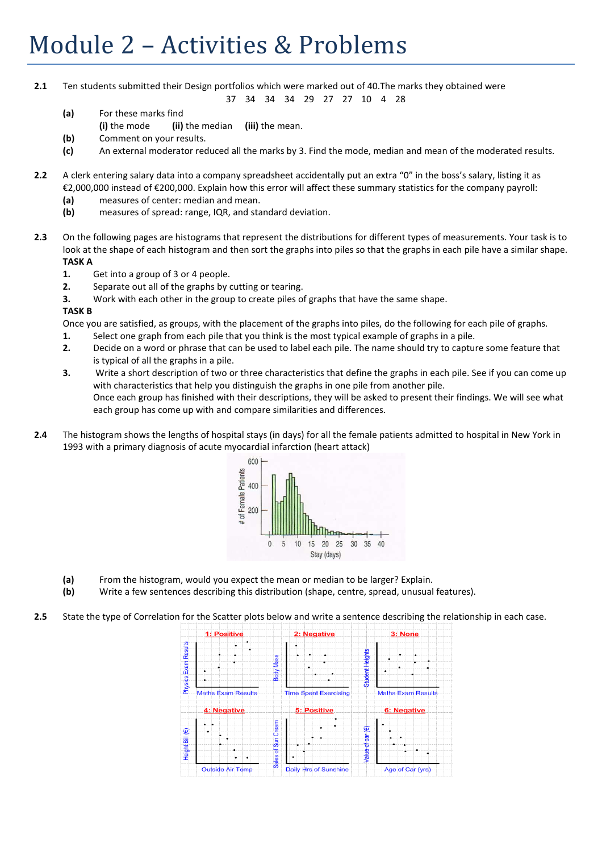## Module 2 – Activities & Problems

**2.1** Ten students submitted their Design portfolios which were marked out of 40.The marks they obtained were

37 34 34 34 29 27 27 10 4 28

- **(a)** For these marks find
	- **(i)** the mode **(ii)** the median **(iii)** the mean.
- **(b)** Comment on your results.
- **(c)** An external moderator reduced all the marks by 3. Find the mode, median and mean of the moderated results.
- **2.2** A clerk entering salary data into a company spreadsheet accidentally put an extra "0" in the boss's salary, listing it as €2,000,000 instead of €200,000. Explain how this error will affect these summary statistics for the company payroll:
	- **(a)** measures of center: median and mean.
	- **(b)** measures of spread: range, IQR, and standard deviation.
- **2.3** On the following pages are histograms that represent the distributions for different types of measurements. Your task is to look at the shape of each histogram and then sort the graphs into piles so that the graphs in each pile have a similar shape. **TASK A** 
	- **1.** Get into a group of 3 or 4 people.
	- **2.** Separate out all of the graphs by cutting or tearing.
	- **3.** Work with each other in the group to create piles of graphs that have the same shape.

## **TASK B**

Once you are satisfied, as groups, with the placement of the graphs into piles, do the following for each pile of graphs.

- **1.** Select one graph from each pile that you think is the most typical example of graphs in a pile.
- **2.** Decide on a word or phrase that can be used to label each pile. The name should try to capture some feature that is typical of all the graphs in a pile.
- **3.** Write a short description of two or three characteristics that define the graphs in each pile. See if you can come up with characteristics that help you distinguish the graphs in one pile from another pile. Once each group has finished with their descriptions, they will be asked to present their findings. We will see what each group has come up with and compare similarities and differences.
- **2.4** The histogram shows the lengths of hospital stays (in days) for all the female patients admitted to hospital in New York in 1993 with a primary diagnosis of acute myocardial infarction (heart attack)



- **(a)** From the histogram, would you expect the mean or median to be larger? Explain.
- **(b)** Write a few sentences describing this distribution (shape, centre, spread, unusual features).

**2.5** State the type of Correlation for the Scatter plots below and write a sentence describing the relationship in each case.

|                 | 1: Positive               | 2: Negative                  | 3: None                   |  |  |
|-----------------|---------------------------|------------------------------|---------------------------|--|--|
| Results         |                           |                              |                           |  |  |
|                 |                           |                              |                           |  |  |
| Physics Exam    |                           | <b>Body Mass</b>             | Student Heights           |  |  |
|                 |                           |                              |                           |  |  |
|                 | <b>Maths Exam Results</b> | <b>Time Spent Exercising</b> | <b>Maths Exam Results</b> |  |  |
|                 |                           |                              |                           |  |  |
|                 | 4: Negative               | 5: Positive                  | 6: Negative               |  |  |
|                 |                           |                              |                           |  |  |
|                 |                           | Cream                        |                           |  |  |
|                 |                           |                              | ۰                         |  |  |
| Height Bill (€) |                           | Sales of Sun                 | Value of car $(\epsilon)$ |  |  |